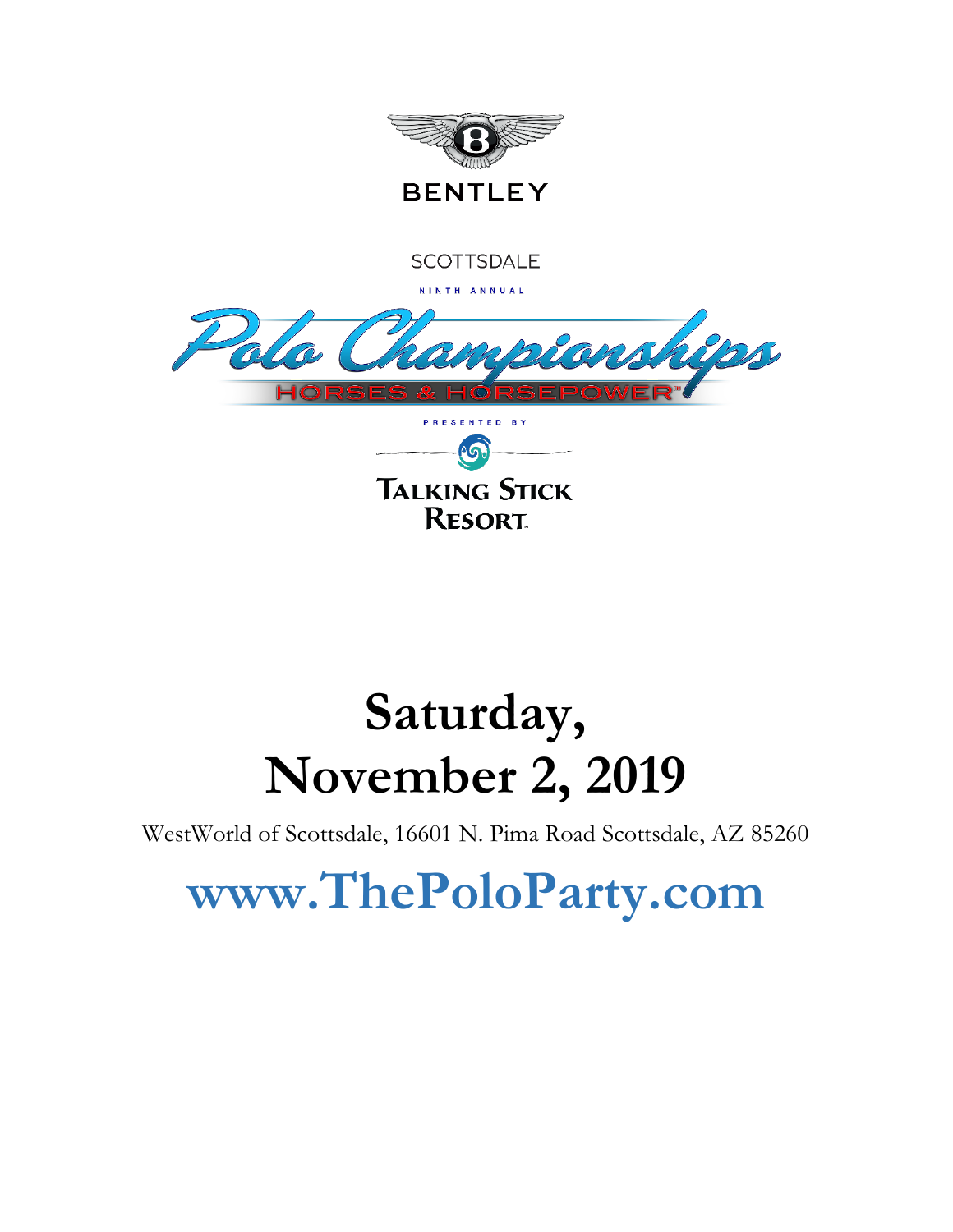

# **Saturday, November 2, 2019**

WestWorld of Scottsdale, 16601 N. Pima Road Scottsdale, AZ 85260

# **www.ThePoloParty.com**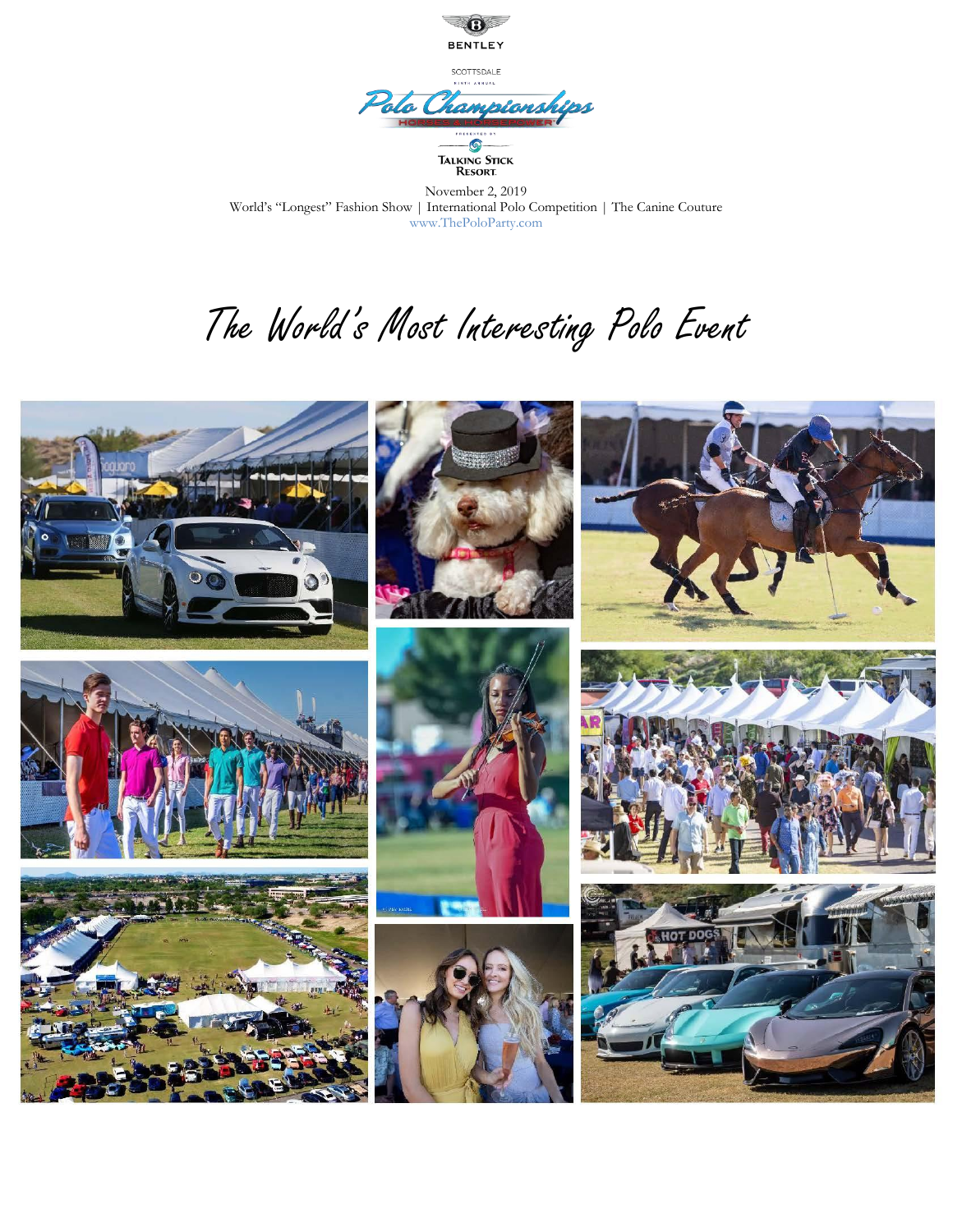

TALKING STICK<br>Resort

November 2, 2019 World's "Longest" Fashion Show | International Polo Competition | The Canine Couture www.ThePoloParty.com

# The World's Most Interesting Polo Event

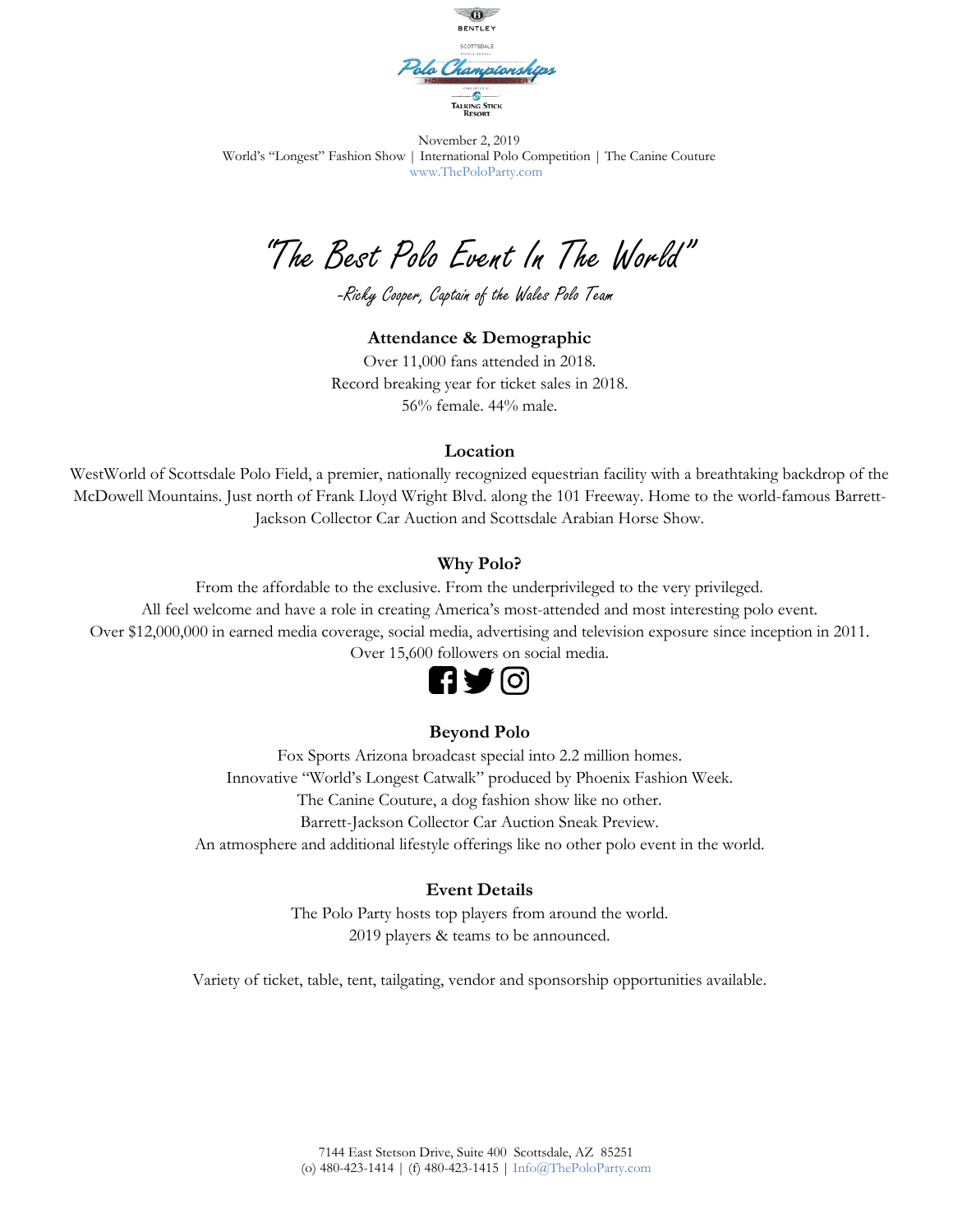

"The Best Polo Event In The World"

-Ricky Cooper, Captain of the Wales Polo Team

#### **Attendance & Demographic**

Over 11,000 fans attended in 2018. Record breaking year for ticket sales in 2018. 56% female. 44% male.

#### **Location**

WestWorld of Scottsdale Polo Field, a premier, nationally recognized equestrian facility with a breathtaking backdrop of the McDowell Mountains. Just north of Frank Lloyd Wright Blvd. along the 101 Freeway. Home to the world-famous Barrett-Jackson Collector Car Auction and Scottsdale Arabian Horse Show.

#### **Why Polo?**

From the affordable to the exclusive. From the underprivileged to the very privileged.

All feel welcome and have a role in creating America's most-attended and most interesting polo event.

Over \$12,000,000 in earned media coverage, social media, advertising and television exposure since inception in 2011.

Over 15,600 followers on social media.



#### **Beyond Polo**

Fox Sports Arizona broadcast special into 2.2 million homes. Innovative "World's Longest Catwalk" produced by Phoenix Fashion Week. The Canine Couture, a dog fashion show like no other. Barrett-Jackson Collector Car Auction Sneak Preview. An atmosphere and additional lifestyle offerings like no other polo event in the world.

#### **Event Details**

The Polo Party hosts top players from around the world. 2019 players & teams to be announced.

Variety of ticket, table, tent, tailgating, vendor and sponsorship opportunities available.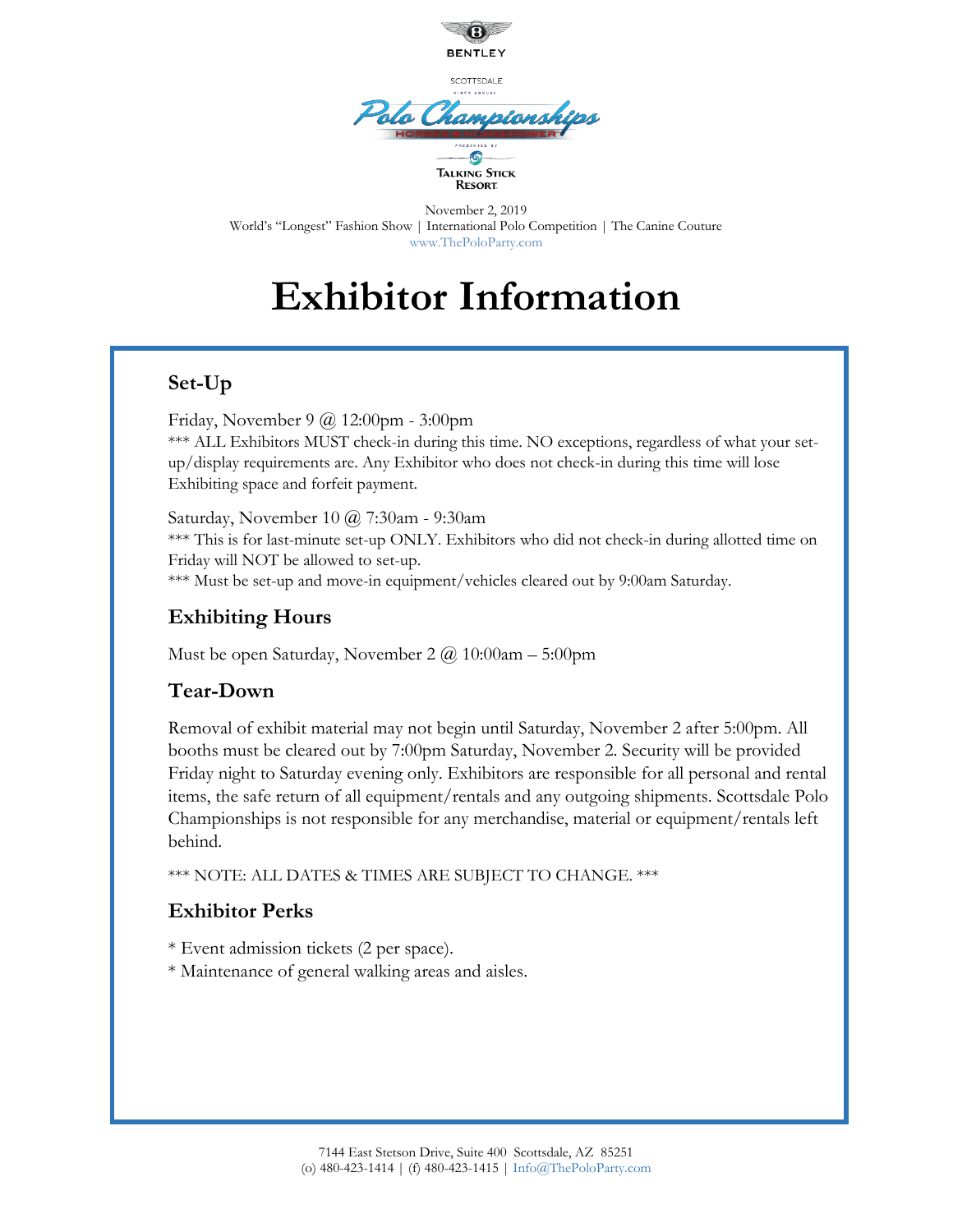

## **Exhibitor Information**

## **Set-Up**

Friday, November 9 @ 12:00pm - 3:00pm \*\*\* ALL Exhibitors MUST check-in during this time. NO exceptions, regardless of what your setup/display requirements are. Any Exhibitor who does not check-in during this time will lose Exhibiting space and forfeit payment.

Saturday, November 10 @ 7:30am - 9:30am \*\*\* This is for last-minute set-up ONLY. Exhibitors who did not check-in during allotted time on Friday will NOT be allowed to set-up. \*\*\* Must be set-up and move-in equipment/vehicles cleared out by 9:00am Saturday.

## **Exhibiting Hours**

Must be open Saturday, November 2  $\omega$  10:00am – 5:00pm

## **Tear-Down**

Removal of exhibit material may not begin until Saturday, November 2 after 5:00pm. All booths must be cleared out by 7:00pm Saturday, November 2. Security will be provided Friday night to Saturday evening only. Exhibitors are responsible for all personal and rental items, the safe return of all equipment/rentals and any outgoing shipments. Scottsdale Polo Championships is not responsible for any merchandise, material or equipment/rentals left behind.

\*\*\* NOTE: ALL DATES & TIMES ARE SUBJECT TO CHANGE. \*\*\*

## **Exhibitor Perks**

\* Event admission tickets (2 per space).

\* Maintenance of general walking areas and aisles.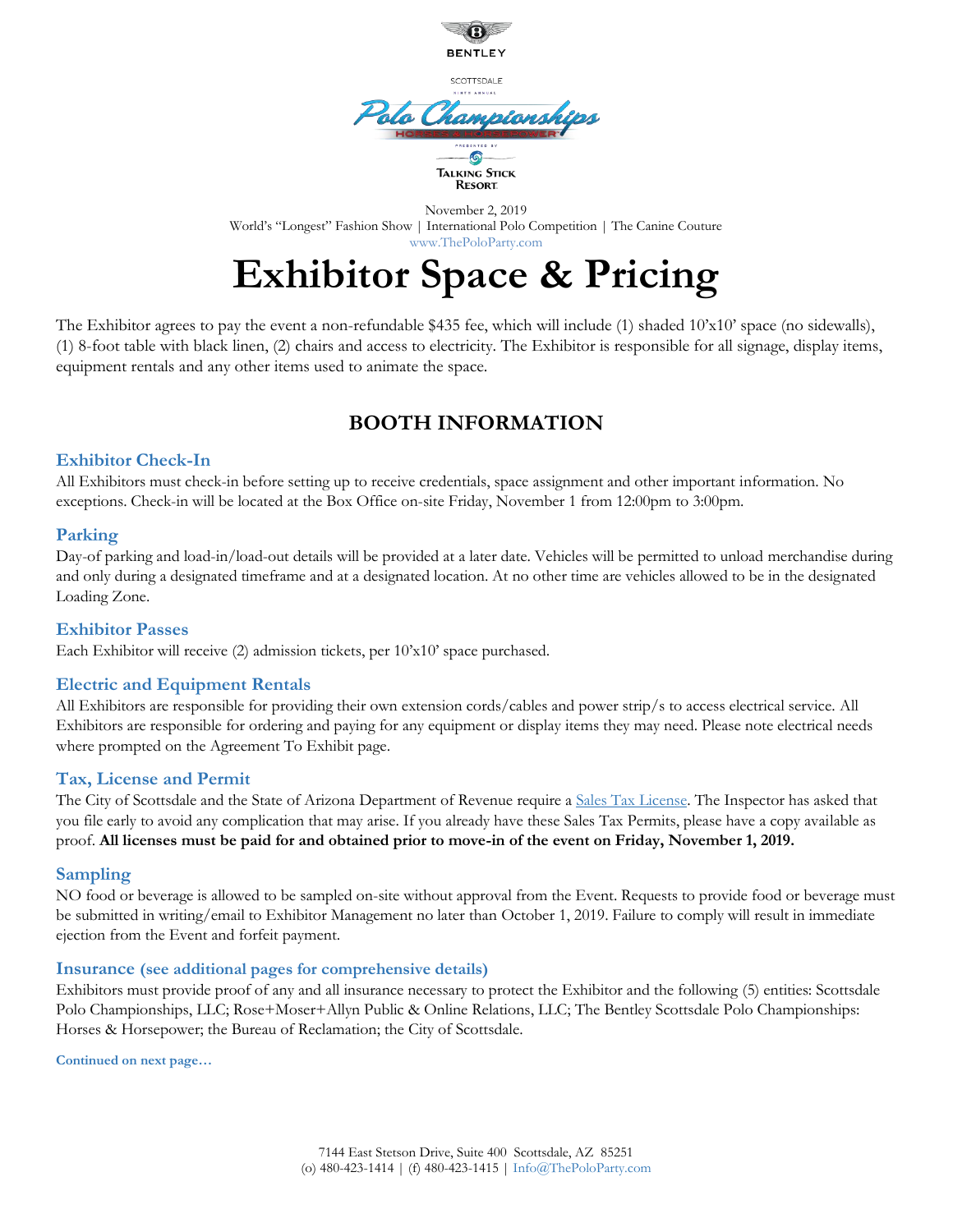

## **Exhibitor Space & Pricing**

The Exhibitor agrees to pay the event a non-refundable \$435 fee, which will include (1) shaded 10'x10' space (no sidewalls), (1) 8-foot table with black linen, (2) chairs and access to electricity. The Exhibitor is responsible for all signage, display items, equipment rentals and any other items used to animate the space.

## **BOOTH INFORMATION**

#### **Exhibitor Check-In**

All Exhibitors must check-in before setting up to receive credentials, space assignment and other important information. No exceptions. Check-in will be located at the Box Office on-site Friday, November 1 from 12:00pm to 3:00pm.

#### **Parking**

Day-of parking and load-in/load-out details will be provided at a later date. Vehicles will be permitted to unload merchandise during and only during a designated timeframe and at a designated location. At no other time are vehicles allowed to be in the designated Loading Zone.

#### **Exhibitor Passes**

Each Exhibitor will receive (2) admission tickets, per 10'x10' space purchased.

#### **Electric and Equipment Rentals**

All Exhibitors are responsible for providing their own extension cords/cables and power strip/s to access electrical service. All Exhibitors are responsible for ordering and paying for any equipment or display items they may need. Please note electrical needs where prompted on the Agreement To Exhibit page.

#### **Tax, License and Permit**

The City of Scottsdale and the State of Arizona Department of Revenue require a [Sales Tax License.](http://www.scottsdaleaz.gov/Page3829.aspx) The Inspector has asked that you file early to avoid any complication that may arise. If you already have these Sales Tax Permits, please have a copy available as proof. **All licenses must be paid for and obtained prior to move-in of the event on Friday, November 1, 2019.**

#### **Sampling**

NO food or beverage is allowed to be sampled on-site without approval from the Event. Requests to provide food or beverage must be submitted in writing/email to Exhibitor Management no later than October 1, 2019. Failure to comply will result in immediate ejection from the Event and forfeit payment.

#### **Insurance (see additional pages for comprehensive details)**

Exhibitors must provide proof of any and all insurance necessary to protect the Exhibitor and the following (5) entities: Scottsdale Polo Championships, LLC; Rose+Moser+Allyn Public & Online Relations, LLC; The Bentley Scottsdale Polo Championships: Horses & Horsepower; the Bureau of Reclamation; the City of Scottsdale.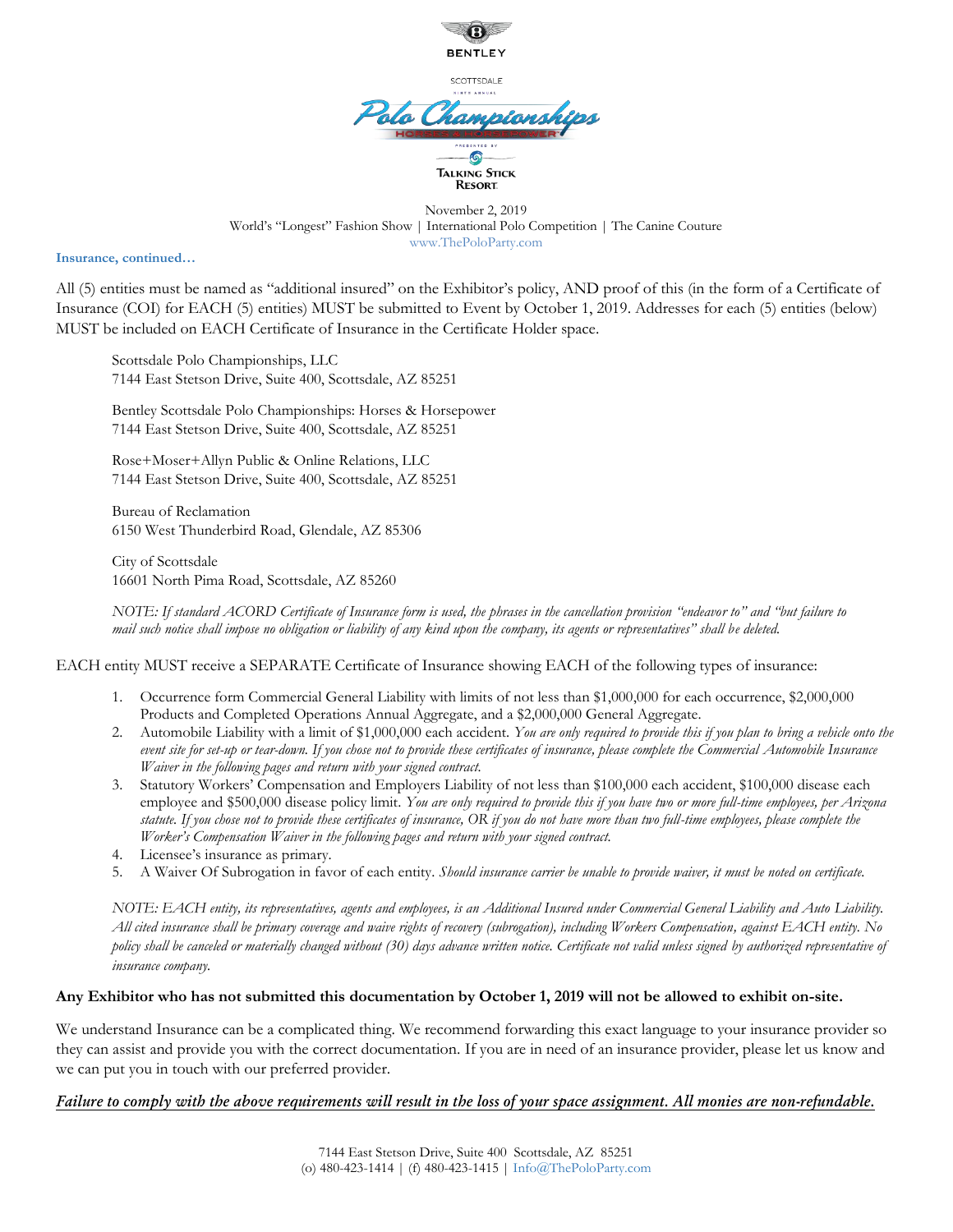

November 2, 2019 World's "Longest" Fashion Show | International Polo Competition | The Canine Couture www.ThePoloParty.com

**Insurance, continued…**

All (5) entities must be named as "additional insured" on the Exhibitor's policy, AND proof of this (in the form of a Certificate of Insurance (COI) for EACH (5) entities) MUST be submitted to Event by October 1, 2019. Addresses for each (5) entities (below) MUST be included on EACH Certificate of Insurance in the Certificate Holder space.

Scottsdale Polo Championships, LLC 7144 East Stetson Drive, Suite 400, Scottsdale, AZ 85251

Bentley Scottsdale Polo Championships: Horses & Horsepower 7144 East Stetson Drive, Suite 400, Scottsdale, AZ 85251

Rose+Moser+Allyn Public & Online Relations, LLC 7144 East Stetson Drive, Suite 400, Scottsdale, AZ 85251

Bureau of Reclamation 6150 West Thunderbird Road, Glendale, AZ 85306

City of Scottsdale 16601 North Pima Road, Scottsdale, AZ 85260

*NOTE: If standard ACORD Certificate of Insurance form is used, the phrases in the cancellation provision "endeavor to" and "but failure to mail such notice shall impose no obligation or liability of any kind upon the company, its agents or representatives" shall be deleted.* 

EACH entity MUST receive a SEPARATE Certificate of Insurance showing EACH of the following types of insurance:

- 1. Occurrence form Commercial General Liability with limits of not less than \$1,000,000 for each occurrence, \$2,000,000 Products and Completed Operations Annual Aggregate, and a \$2,000,000 General Aggregate.
- 2. Automobile Liability with a limit of \$1,000,000 each accident. *You are only required to provide this if you plan to bring a vehicle onto the event site for set-up or tear-down. If you chose not to provide these certificates of insurance, please complete the Commercial Automobile Insurance Waiver in the following pages and return with your signed contract.*
- 3. Statutory Workers' Compensation and Employers Liability of not less than \$100,000 each accident, \$100,000 disease each employee and \$500,000 disease policy limit. *You are only required to provide this if you have two or more full-time employees, per Arizona statute. If you chose not to provide these certificates of insurance, OR if you do not have more than two full-time employees, please complete the Worker's Compensation Waiver in the following pages and return with your signed contract.*
- 4. Licensee's insurance as primary.
- 5. A Waiver Of Subrogation in favor of each entity. *Should insurance carrier be unable to provide waiver, it must be noted on certificate.*

*NOTE: EACH entity, its representatives, agents and employees, is an Additional Insured under Commercial General Liability and Auto Liability. All cited insurance shall be primary coverage and waive rights of recovery (subrogation), including Workers Compensation, against EACH entity. No policy shall be canceled or materially changed without (30) days advance written notice. Certificate not valid unless signed by authorized representative of insurance company.* 

#### **Any Exhibitor who has not submitted this documentation by October 1, 2019 will not be allowed to exhibit on-site.**

We understand Insurance can be a complicated thing. We recommend forwarding this exact language to your insurance provider so they can assist and provide you with the correct documentation. If you are in need of an insurance provider, please let us know and we can put you in touch with our preferred provider.

#### *Failure to comply with the above requirements will result in the loss of your space assignment. All monies are non-refundable.*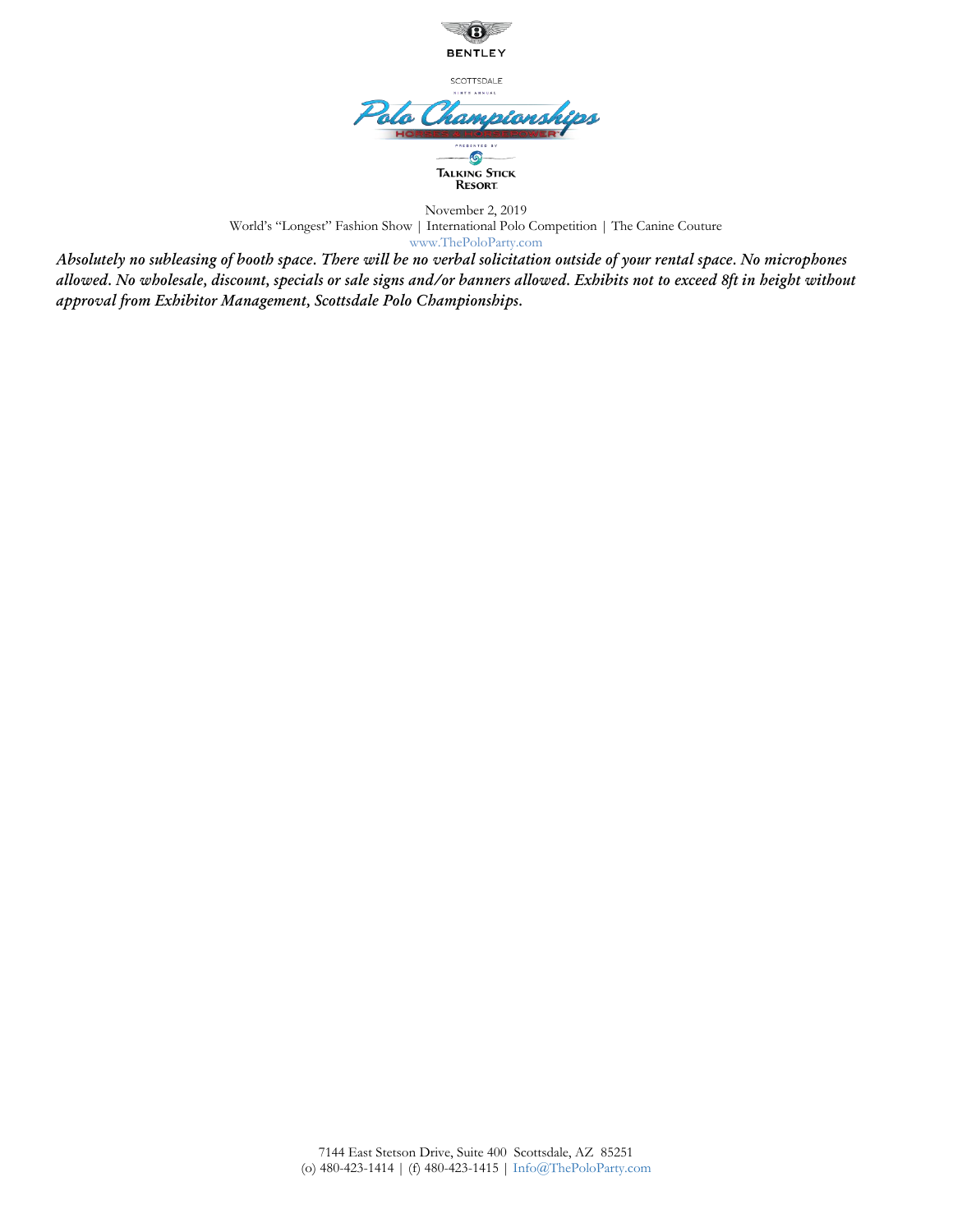

November 2, 2019 World's "Longest" Fashion Show | International Polo Competition | The Canine Couture www.ThePoloParty.com

*Absolutely no subleasing of booth space. There will be no verbal solicitation outside of your rental space. No microphones allowed. No wholesale, discount, specials or sale signs and/or banners allowed. Exhibits not to exceed 8ft in height without approval from Exhibitor Management, Scottsdale Polo Championships.*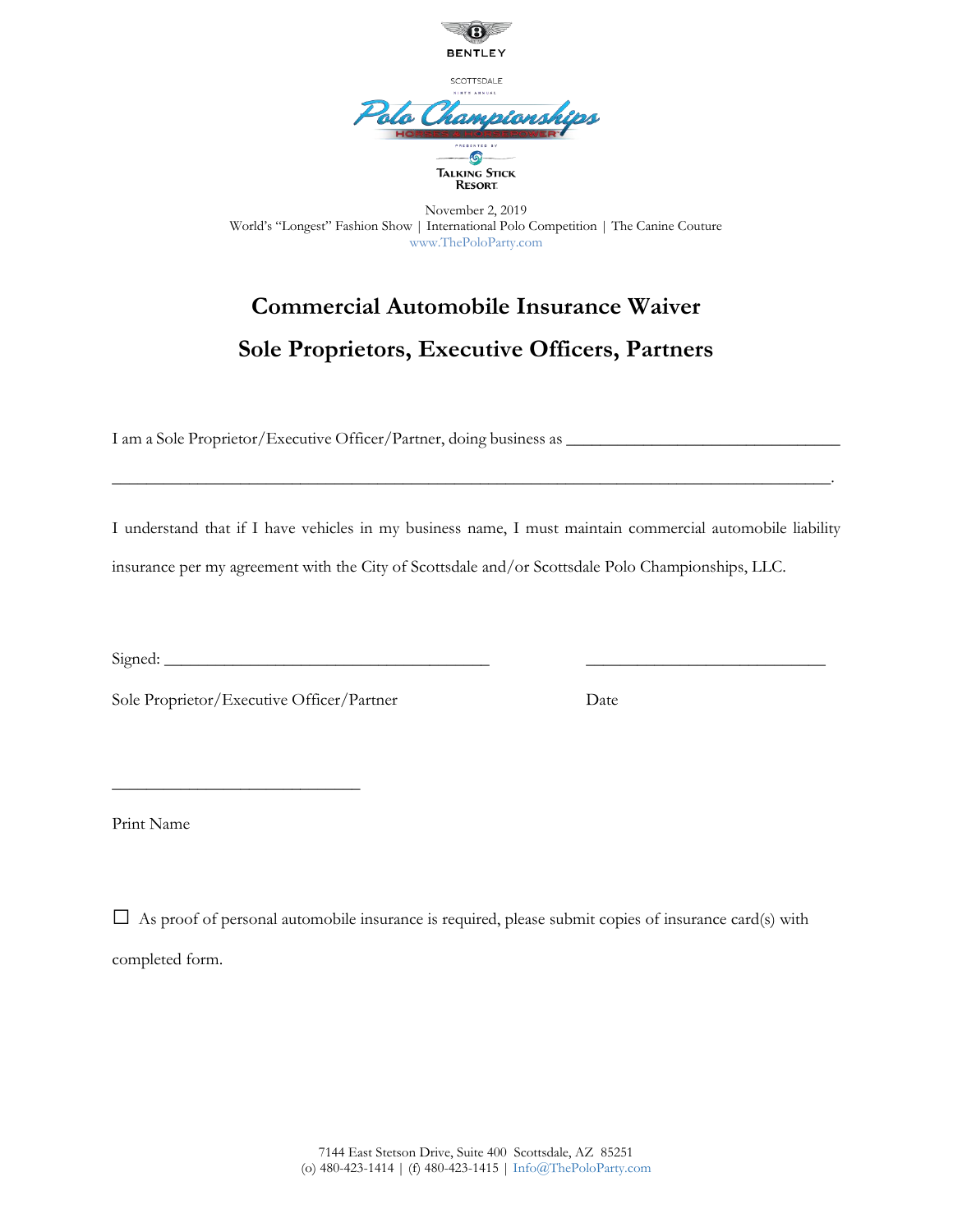

## **Commercial Automobile Insurance Waiver Sole Proprietors, Executive Officers, Partners**

I am a Sole Proprietor/Executive Officer/Partner, doing business as \_\_\_\_\_\_\_\_\_\_\_\_\_\_\_\_\_\_\_\_\_\_\_\_\_\_\_\_\_\_\_\_

I understand that if I have vehicles in my business name, I must maintain commercial automobile liability insurance per my agreement with the City of Scottsdale and/or Scottsdale Polo Championships, LLC.

\_\_\_\_\_\_\_\_\_\_\_\_\_\_\_\_\_\_\_\_\_\_\_\_\_\_\_\_\_\_\_\_\_\_\_\_\_\_\_\_\_\_\_\_\_\_\_\_\_\_\_\_\_\_\_\_\_\_\_\_\_\_\_\_\_\_\_\_\_\_\_\_\_\_\_\_\_\_\_\_\_\_\_\_.

 $Signed:$ 

Sole Proprietor/Executive Officer/Partner Date

 $\frac{1}{2}$  ,  $\frac{1}{2}$  ,  $\frac{1}{2}$  ,  $\frac{1}{2}$  ,  $\frac{1}{2}$  ,  $\frac{1}{2}$  ,  $\frac{1}{2}$  ,  $\frac{1}{2}$  ,  $\frac{1}{2}$  ,  $\frac{1}{2}$  ,  $\frac{1}{2}$  ,  $\frac{1}{2}$  ,  $\frac{1}{2}$  ,  $\frac{1}{2}$  ,  $\frac{1}{2}$  ,  $\frac{1}{2}$  ,  $\frac{1}{2}$  ,  $\frac{1}{2}$  ,  $\frac{1$ 

Print Name

 $\square$  As proof of personal automobile insurance is required, please submit copies of insurance card(s) with completed form.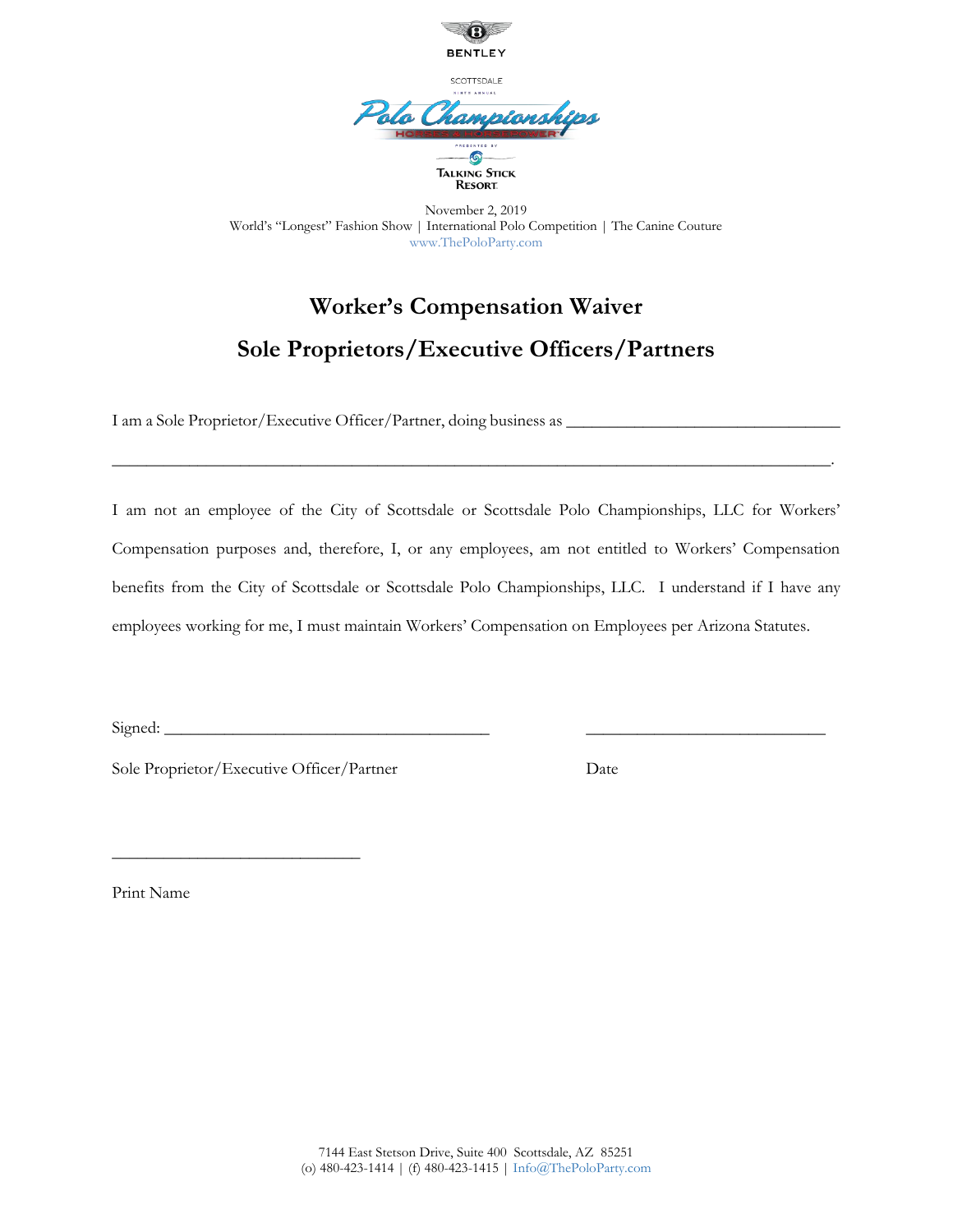

## **Worker's Compensation Waiver Sole Proprietors/Executive Officers/Partners**

I am a Sole Proprietor/Executive Officer/Partner, doing business as \_\_\_\_\_\_\_\_\_\_\_\_

I am not an employee of the City of Scottsdale or Scottsdale Polo Championships, LLC for Workers' Compensation purposes and, therefore, I, or any employees, am not entitled to Workers' Compensation benefits from the City of Scottsdale or Scottsdale Polo Championships, LLC. I understand if I have any employees working for me, I must maintain Workers' Compensation on Employees per Arizona Statutes.

\_\_\_\_\_\_\_\_\_\_\_\_\_\_\_\_\_\_\_\_\_\_\_\_\_\_\_\_\_\_\_\_\_\_\_\_\_\_\_\_\_\_\_\_\_\_\_\_\_\_\_\_\_\_\_\_\_\_\_\_\_\_\_\_\_\_\_\_\_\_\_\_\_\_\_\_\_\_\_\_\_\_\_\_.

 $Signed:$ 

 $\frac{1}{2}$  ,  $\frac{1}{2}$  ,  $\frac{1}{2}$  ,  $\frac{1}{2}$  ,  $\frac{1}{2}$  ,  $\frac{1}{2}$  ,  $\frac{1}{2}$  ,  $\frac{1}{2}$  ,  $\frac{1}{2}$  ,  $\frac{1}{2}$  ,  $\frac{1}{2}$  ,  $\frac{1}{2}$  ,  $\frac{1}{2}$  ,  $\frac{1}{2}$  ,  $\frac{1}{2}$  ,  $\frac{1}{2}$  ,  $\frac{1}{2}$  ,  $\frac{1}{2}$  ,  $\frac{1$ 

Sole Proprietor/Executive Officer/Partner Date

Print Name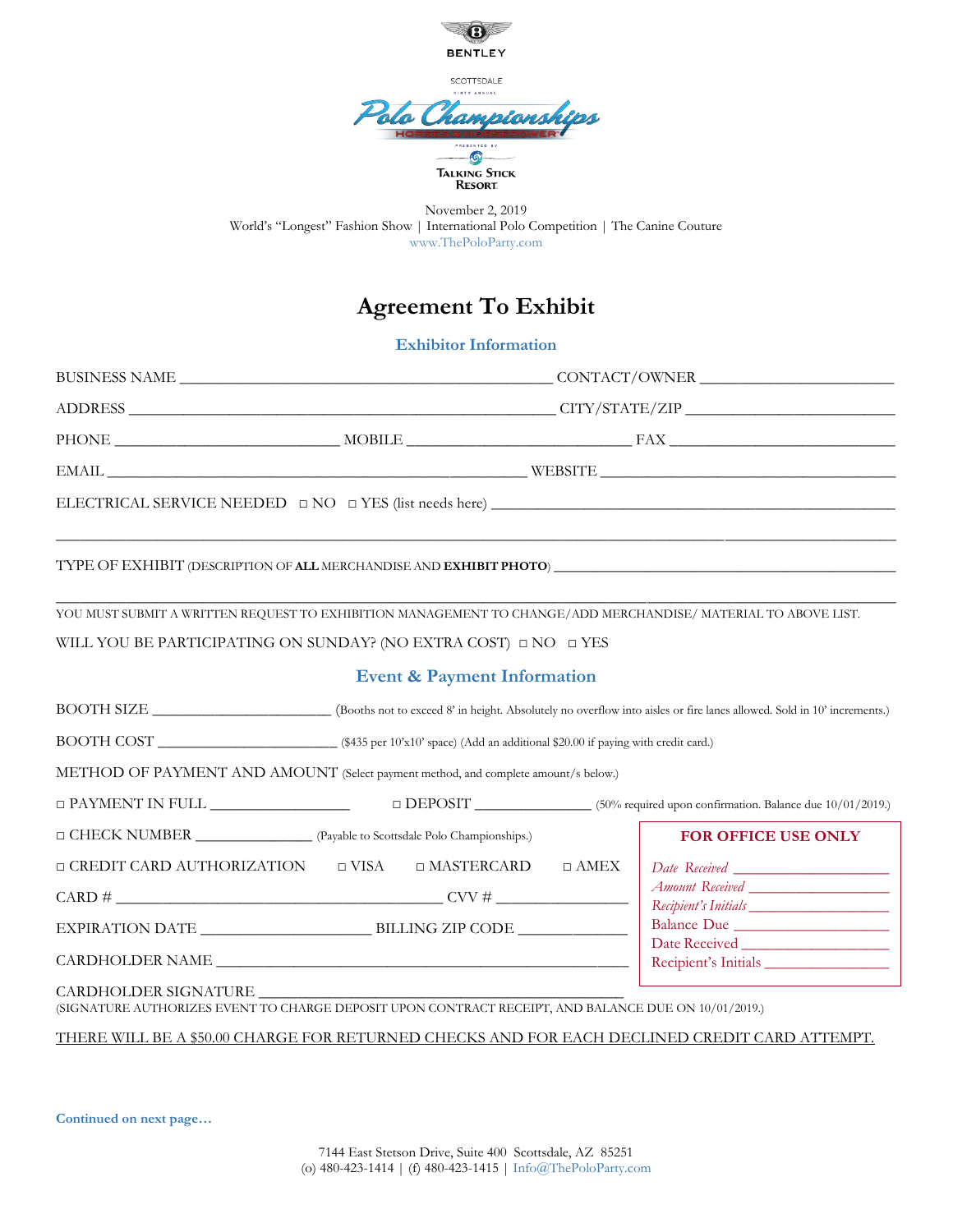

## **Agreement To Exhibit**

**Exhibitor Information**

| YOU MUST SUBMIT A WRITTEN REQUEST TO EXHIBITION MANAGEMENT TO CHANGE/ADD MERCHANDISE/ MATERIAL TO ABOVE LIST.<br>WILL YOU BE PARTICIPATING ON SUNDAY? (NO EXTRA COST) $\Box$ NO $\Box$ YES | <b>Event &amp; Payment Information</b> |             |                                     |  |
|--------------------------------------------------------------------------------------------------------------------------------------------------------------------------------------------|----------------------------------------|-------------|-------------------------------------|--|
| BOOTH SIZE ______________________(Booths not to exceed 8' in height. Absolutely no overflow into aisles or fire lanes allowed. Sold in 10' increments.)                                    |                                        |             |                                     |  |
|                                                                                                                                                                                            |                                        |             |                                     |  |
| METHOD OF PAYMENT AND AMOUNT (Select payment method, and complete amount/s below.)                                                                                                         |                                        |             |                                     |  |
|                                                                                                                                                                                            |                                        |             |                                     |  |
| □ CHECK NUMBER ________________ (Payable to Scottsdale Polo Championships.)                                                                                                                |                                        |             | <b>FOR OFFICE USE ONLY</b>          |  |
| □ CREDIT CARD AUTHORIZATION □ VISA                                                                                                                                                         | □ MASTERCARD                           | $\Box$ AMEX | Recipient's Initials                |  |
| CARDHOLDER NAME                                                                                                                                                                            |                                        |             | Balance Due<br>Recipient's Initials |  |
| CARDHOLDER SIGNATURE<br>(SIGNATURE AUTHORIZES EVENT TO CHARGE DEPOSIT UPON CONTRACT RECEIPT, AND BALANCE DUE ON 10/01/2019.)                                                               |                                        |             |                                     |  |
| <u>THERE WILL BE A \$50.00 CHARGE FOR RETURNED CHECKS AND FOR EACH DECLINED CREDIT CARD ATTEMPT.</u>                                                                                       |                                        |             |                                     |  |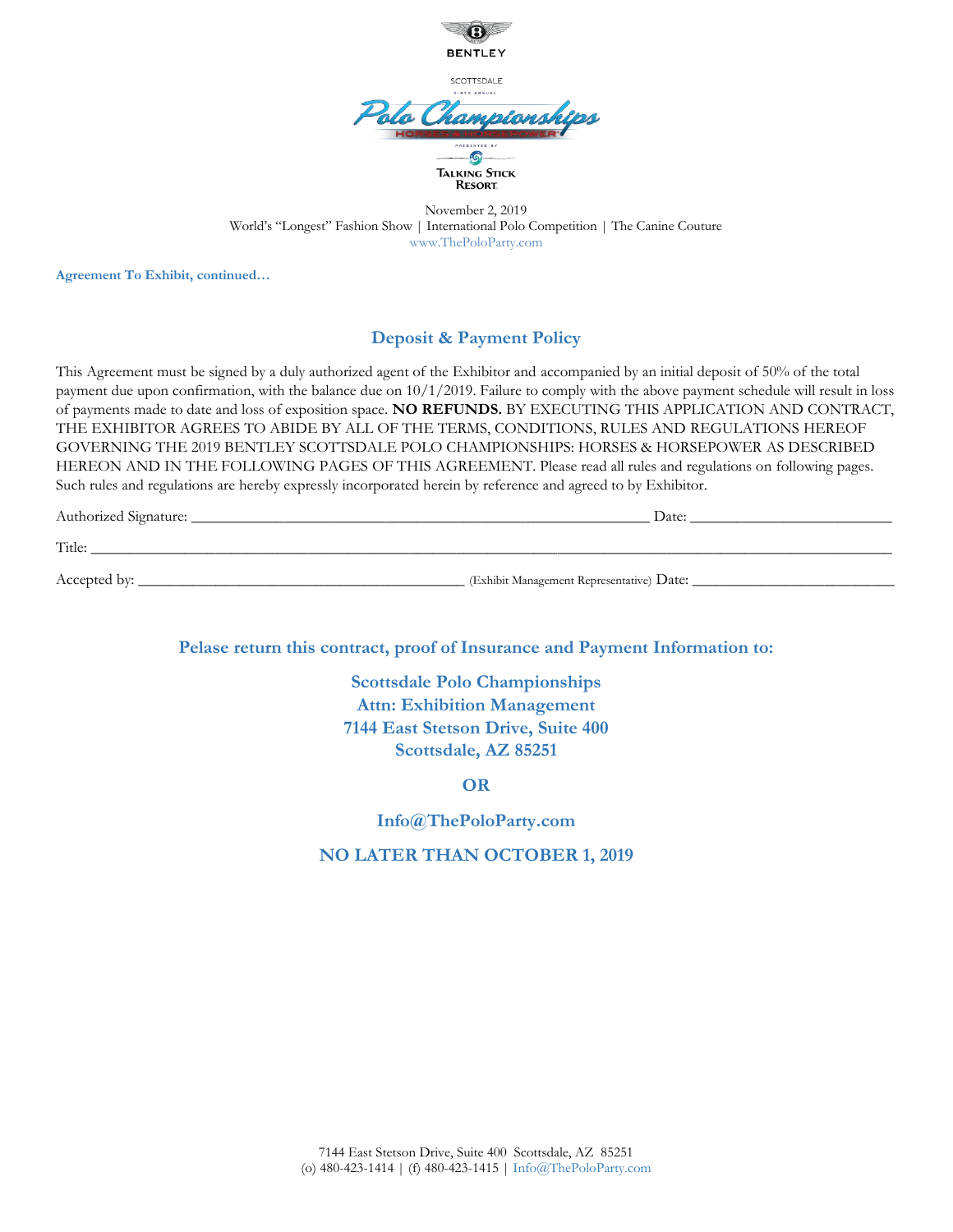

**Agreement To Exhibit, continued…**

#### **Deposit & Payment Policy**

This Agreement must be signed by a duly authorized agent of the Exhibitor and accompanied by an initial deposit of 50% of the total payment due upon confirmation, with the balance due on 10/1/2019. Failure to comply with the above payment schedule will result in loss of payments made to date and loss of exposition space. **NO REFUNDS.** BY EXECUTING THIS APPLICATION AND CONTRACT, THE EXHIBITOR AGREES TO ABIDE BY ALL OF THE TERMS, CONDITIONS, RULES AND REGULATIONS HEREOF GOVERNING THE 2019 BENTLEY SCOTTSDALE POLO CHAMPIONSHIPS: HORSES & HORSEPOWER AS DESCRIBED HEREON AND IN THE FOLLOWING PAGES OF THIS AGREEMENT. Please read all rules and regulations on following pages. Such rules and regulations are hereby expressly incorporated herein by reference and agreed to by Exhibitor.

| Auth<br>:horized Signature: | Date: |
|-----------------------------|-------|
|                             |       |
| $TT^*$ .1<br>1 itie         |       |

Accepted by: \_\_\_\_\_\_\_\_\_\_\_\_\_\_\_\_\_\_\_\_\_\_\_\_\_\_\_\_\_\_\_\_\_\_\_\_\_\_\_\_\_\_ (Exhibit Management Representative) Date: \_\_\_\_\_\_\_\_\_\_\_\_\_\_\_\_\_\_\_\_\_\_\_\_\_\_

**Pelase return this contract, proof of Insurance and Payment Information to:**

**Scottsdale Polo Championships Attn: Exhibition Management 7144 East Stetson Drive, Suite 400 Scottsdale, AZ 85251**

**OR**

**Info@ThePoloParty.com**

**NO LATER THAN OCTOBER 1, 2019**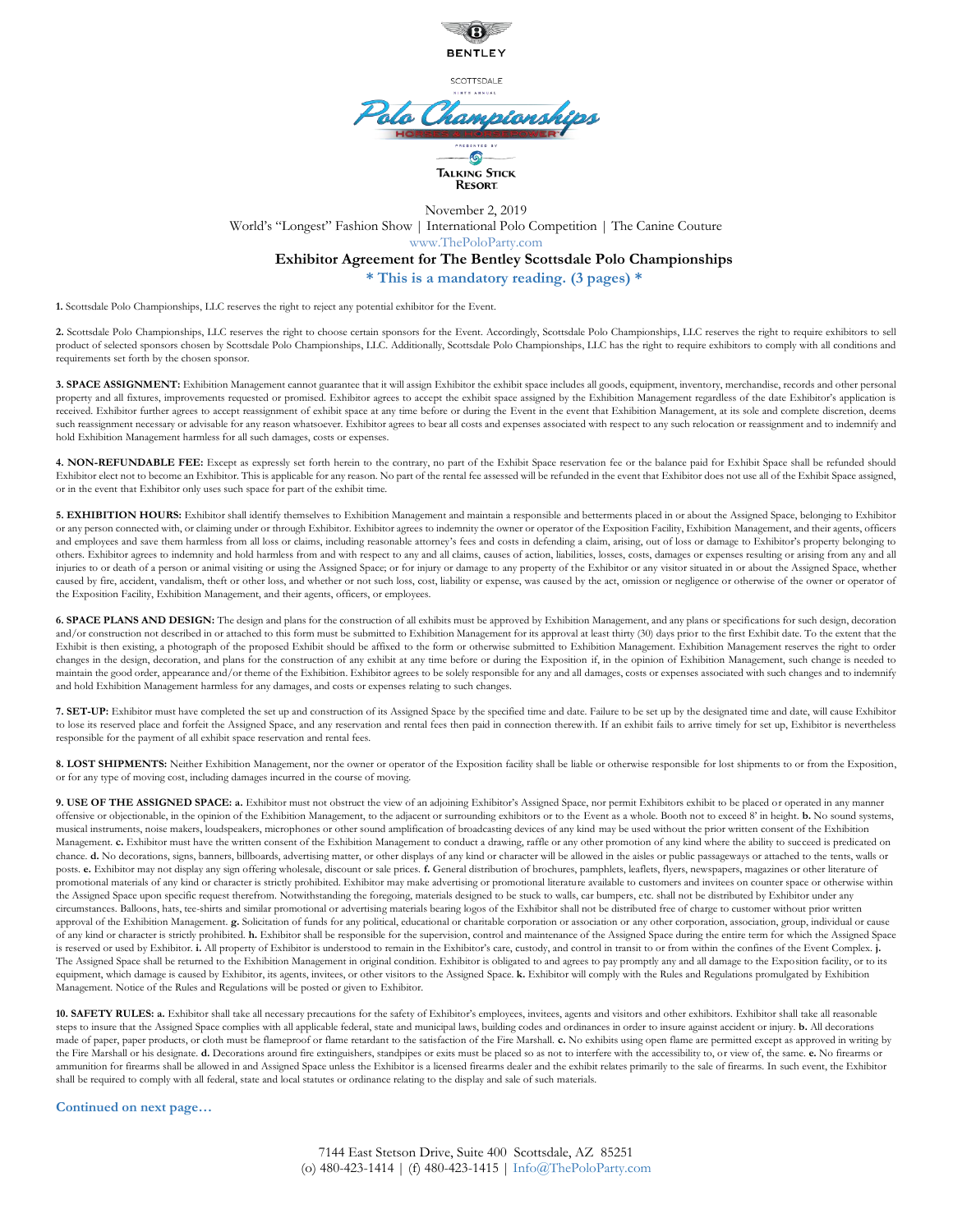

SCOTTSDALE

### do Championsh  $\overline{S}$ Talking Stick Resort

November 2, 2019 World's "Longest" Fashion Show | International Polo Competition | The Canine Couture www.ThePoloParty.com **Exhibitor Agreement for The Bentley Scottsdale Polo Championships \* This is a mandatory reading. (3 pages) \***

**1.** Scottsdale Polo Championships, LLC reserves the right to reject any potential exhibitor for the Event.

**2.** Scottsdale Polo Championships, LLC reserves the right to choose certain sponsors for the Event. Accordingly, Scottsdale Polo Championships, LLC reserves the right to require exhibitors to sell product of selected sponsors chosen by Scottsdale Polo Championships, LLC. Additionally, Scottsdale Polo Championships, LLC has the right to require exhibitors to comply with all conditions and requirements set forth by the chosen sponsor.

3. SPACE ASSIGNMENT: Exhibition Management cannot guarantee that it will assign Exhibitor the exhibit space includes all goods, equipment, inventory, merchandise, records and other personal property and all fixtures, improvements requested or promised. Exhibitor agrees to accept the exhibit space assigned by the Exhibition Management regardless of the date Exhibitor's application is received. Exhibitor further agrees to accept reassignment of exhibit space at any time before or during the Event in the event that Exhibition Management, at its sole and complete discretion, deems such reassignment necessary or advisable for any reason whatsoever. Exhibitor agrees to bear all costs and expenses associated with respect to any such relocation or reassignment and to indemnify and hold Exhibition Management harmless for all such damages, costs or expenses.

**4. NON-REFUNDABLE FEE:** Except as expressly set forth herein to the contrary, no part of the Exhibit Space reservation fee or the balance paid for Exhibit Space shall be refunded should Exhibitor elect not to become an Exhibitor. This is applicable for any reason. No part of the rental fee assessed will be refunded in the event that Exhibitor does not use all of the Exhibit Space assigned, or in the event that Exhibitor only uses such space for part of the exhibit time.

**5. EXHIBITION HOURS:** Exhibitor shall identify themselves to Exhibition Management and maintain a responsible and betterments placed in or about the Assigned Space, belonging to Exhibitor or any person connected with, or claiming under or through Exhibitor. Exhibitor agrees to indemnity the owner or operator of the Exposition Facility, Exhibition Management, and their agents, officers and employees and save them harmless from all loss or claims, including reasonable attorney's fees and costs in defending a claim, arising, out of loss or damage to Exhibitor's property belonging to others. Exhibitor agrees to indemnity and hold harmless from and with respect to any and all claims, causes of action, liabilities, losses, costs, damages or expenses resulting or arising from any and all injuries to or death of a person or animal visiting or using the Assigned Space; or for injury or damage to any property of the Exhibitor or any visitor situated in or about the Assigned Space, whether caused by fire, accident, vandalism, theft or other loss, and whether or not such loss, cost, liability or expense, was caused by the act, omission or negligence or otherwise of the owner or operator of the Exposition Facility, Exhibition Management, and their agents, officers, or employees.

**6. SPACE PLANS AND DESIGN:** The design and plans for the construction of all exhibits must be approved by Exhibition Management, and any plans or specifications for such design, decoration and/or construction not described in or attached to this form must be submitted to Exhibition Management for its approval at least thirty (30) days prior to the first Exhibit date. To the extent that the Exhibit is then existing, a photograph of the proposed Exhibit should be affixed to the form or otherwise submitted to Exhibition Management. Exhibition Management reserves the right to order changes in the design, decoration, and plans for the construction of any exhibit at any time before or during the Exposition if, in the opinion of Exhibition Management, such change is needed to maintain the good order, appearance and/or theme of the Exhibition. Exhibitor agrees to be solely responsible for any and all damages, costs or expenses associated with such changes and to indemnify and hold Exhibition Management harmless for any damages, and costs or expenses relating to such changes.

**7. SET-UP:** Exhibitor must have completed the set up and construction of its Assigned Space by the specified time and date. Failure to be set up by the designated time and date, will cause Exhibitor to lose its reserved place and forfeit the Assigned Space, and any reservation and rental fees then paid in connection therewith. If an exhibit fails to arrive timely for set up, Exhibitor is nevertheless responsible for the payment of all exhibit space reservation and rental fees.

**8. LOST SHIPMENTS:** Neither Exhibition Management, nor the owner or operator of the Exposition facility shall be liable or otherwise responsible for lost shipments to or from the Exposition, or for any type of moving cost, including damages incurred in the course of moving.

**9. USE OF THE ASSIGNED SPACE: a.** Exhibitor must not obstruct the view of an adjoining Exhibitor's Assigned Space, nor permit Exhibitors exhibit to be placed or operated in any manner offensive or objectionable, in the opinion of the Exhibition Management, to the adjacent or surrounding exhibitors or to the Event as a whole. Booth not to exceed 8' in height. **b.** No sound systems, musical instruments, noise makers, loudspeakers, microphones or other sound amplification of broadcasting devices of any kind may be used without the prior written consent of the Exhibition Management. c. Exhibitor must have the written consent of the Exhibition Management to conduct a drawing, raffle or any other promotion of any kind where the ability to succeed is predicated on chance. **d.** No decorations, signs, banners, billboards, advertising matter, or other displays of any kind or character will be allowed in the aisles or public passageways or attached to the tents, walls or posts. e. Exhibitor may not display any sign offering wholesale, discount or sale prices. **f.** General distribution of brochures, pamphlets, leaflets, flyers, newspapers, magazines or other literature of promotional materials of any kind or character is strictly prohibited. Exhibitor may make advertising or promotional literature available to customers and invitees on counter space or otherwise within the Assigned Space upon specific request therefrom. Notwithstanding the foregoing, materials designed to be stuck to walls, car bumpers, etc. shall not be distributed by Exhibitor under any circumstances. Balloons, hats, tee-shirts and similar promotional or advertising materials bearing logos of the Exhibitor shall not be distributed free of charge to customer without prior written approval of the Exhibition Management. **g.** Solicitation of funds for any political, educational or charitable corporation or association or any other corporation, association, group, individual or cause of any kind or character is strictly prohibited. **h.** Exhibitor shall be responsible for the supervision, control and maintenance of the Assigned Space during the entire term for which the Assigned Space is reserved or used by Exhibitor. **i.** All property of Exhibitor is understood to remain in the Exhibitor's care, custody, and control in transit to or from within the confines of the Event Complex. **j.** The Assigned Space shall be returned to the Exhibition Management in original condition. Exhibitor is obligated to and agrees to pay promptly any and all damage to the Exposition facility, or to its equipment, which damage is caused by Exhibitor, its agents, invitees, or other visitors to the Assigned Space. **k.** Exhibitor will comply with the Rules and Regulations promulgated by Exhibition Management. Notice of the Rules and Regulations will be posted or given to Exhibitor.

**10. SAFETY RULES: a.** Exhibitor shall take all necessary precautions for the safety of Exhibitor's employees, invitees, agents and visitors and other exhibitors. Exhibitor shall take all reasonable steps to insure that the Assigned Space complies with all applicable federal, state and municipal laws, building codes and ordinances in order to insure against accident or injury. **b.** All decorations made of paper, paper products, or cloth must be flameproof or flame retardant to the satisfaction of the Fire Marshall. **c.** No exhibits using open flame are permitted except as approved in writing by the Fire Marshall or his designate. **d.** Decorations around fire extinguishers, standpipes or exits must be placed so as not to interfere with the accessibility to, or view of, the same. **e.** No firearms or ammunition for firearms shall be allowed in and Assigned Space unless the Exhibitor is a licensed firearms dealer and the exhibit relates primarily to the sale of firearms. In such event, the Exhibitor shall be required to comply with all federal, state and local statutes or ordinance relating to the display and sale of such materials.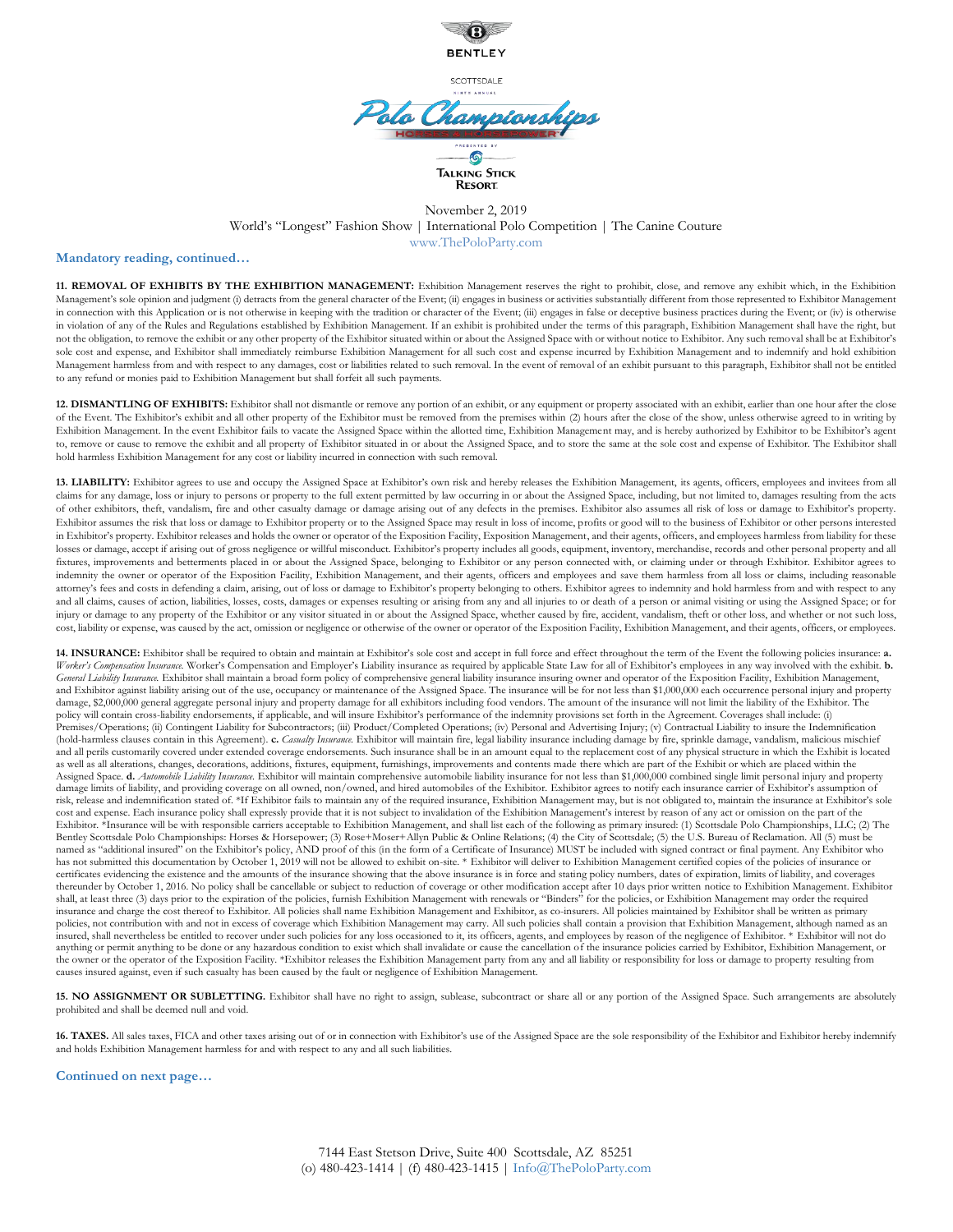

SCOTTSDALE

### do Championsh  $\overline{S}$ Talking Stick Resort

#### November 2, 2019 World's "Longest" Fashion Show | International Polo Competition | The Canine Couture www.ThePoloParty.com

#### **Mandatory reading, continued…**

**11. REMOVAL OF EXHIBITS BY THE EXHIBITION MANAGEMENT:** Exhibition Management reserves the right to prohibit, close, and remove any exhibit which, in the Exhibition Management's sole opinion and judgment (i) detracts from the general character of the Event; (ii) engages in business or activities substantially different from those represented to Exhibitor Management in connection with this Application or is not otherwise in keeping with the tradition or character of the Event; (iii) engages in false or deceptive business practices during the Event; or (iv) is otherwise in violation of any of the Rules and Regulations established by Exhibition Management. If an exhibit is prohibited under the terms of this paragraph, Exhibition Management shall have the right, but not the obligation, to remove the exhibit or any other property of the Exhibitor situated within or about the Assigned Space with or without notice to Exhibitor. Any such removal shall be at Exhibitor's sole cost and expense, and Exhibitor shall immediately reimburse Exhibition Management for all such cost and expense incurred by Exhibition Management and to indemnify and hold exhibition Management harmless from and with respect to any damages, cost or liabilities related to such removal. In the event of removal of an exhibit pursuant to this paragraph, Exhibitor shall not be entitled to any refund or monies paid to Exhibition Management but shall forfeit all such payments.

12. DISMANTLING OF EXHIBITS: Exhibitor shall not dismantle or remove any portion of an exhibit, or any equipment or property associated with an exhibit, earlier than one hour after the close of the Event. The Exhibitor's exhibit and all other property of the Exhibitor must be removed from the premises within (2) hours after the close of the show, unless otherwise agreed to in writing by Exhibition Management. In the event Exhibitor fails to vacate the Assigned Space within the allotted time, Exhibition Management may, and is hereby authorized by Exhibitor to be Exhibitor's agent to, remove or cause to remove the exhibit and all property of Exhibitor situated in or about the Assigned Space, and to store the same at the sole cost and expense of Exhibitor. The Exhibitor shall hold harmless Exhibition Management for any cost or liability incurred in connection with such removal.

13. LIABILITY: Exhibitor agrees to use and occupy the Assigned Space at Exhibitor's own risk and hereby releases the Exhibition Management, its agents, officers, employees and invitees from all claims for any damage, loss or injury to persons or property to the full extent permitted by law occurring in or about the Assigned Space, including, but not limited to, damages resulting from the acts of other exhibitors, theft, vandalism, fire and other casualty damage or damage arising out of any defects in the premises. Exhibitor also assumes all risk of loss or damage to Exhibitor's property. Exhibitor assumes the risk that loss or damage to Exhibitor property or to the Assigned Space may result in loss of income, profits or good will to the business of Exhibitor or other persons interested in Exhibitor's property. Exhibitor releases and holds the owner or operator of the Exposition Facility, Exposition Management, and their agents, officers, and employees harmless from liability for these losses or damage, accept if arising out of gross negligence or willful misconduct. Exhibitor's property includes all goods, equipment, inventory, merchandise, records and other personal property and all fixtures, improvements and betterments placed in or about the Assigned Space, belonging to Exhibitor or any person connected with, or claiming under or through Exhibitor. Exhibitor agrees to indemnity the owner or operator of the Exposition Facility, Exhibition Management, and their agents, officers and employees and save them harmless from all loss or claims, including reasonable attorney's fees and costs in defending a claim, arising, out of loss or damage to Exhibitor's property belonging to others. Exhibitor agrees to indemnity and hold harmless from and with respect to any and all claims, causes of action, liabilities, losses, costs, damages or expenses resulting or arising from any and all injuries to or death of a person or animal visiting or using the Assigned Space; or for injury or damage to any property of the Exhibitor or any visitor situated in or about the Assigned Space, whether caused by fire, accident, vandalism, theft or other loss, and whether or not such loss, cost, liability or expense, was caused by the act, omission or negligence or otherwise of the owner or operator of the Exposition Facility, Exhibition Management, and their agents, officers, or employees.

**14. INSURANCE:** Exhibitor shall be required to obtain and maintain at Exhibitor's sole cost and accept in full force and effect throughout the term of the Event the following policies insurance: **a.** *Worker's Compensation Insurance.* Worker's Compensation and Employer's Liability insurance as required by applicable State Law for all of Exhibitor's employees in any way involved with the exhibit. **b.** *General Liability Insurance.* Exhibitor shall maintain a broad form policy of comprehensive general liability insurance insuring owner and operator of the Exposition Facility, Exhibition Management, and Exhibitor against liability arising out of the use, occupancy or maintenance of the Assigned Space. The insurance will be for not less than \$1,000,000 each occurrence personal injury and property damage, \$2,000,000 general aggregate personal injury and property damage for all exhibitors including food vendors. The amount of the insurance will not limit the liability of the Exhibitor. The policy will contain cross-liability endorsements, if applicable, and will insure Exhibitor's performance of the indemnity provisions set forth in the Agreement. Coverages shall include: (i) Premises/Operations; (ii) Contingent Liability for Subcontractors; (iii) Product/Completed Operations; (iv) Personal and Advertising Injury; (v) Contractual Liability to insure the Indemnification (hold-harmless clauses contain in this Agreement). **c.** *Casualty Insurance.* Exhibitor will maintain fire, legal liability insurance including damage by fire, sprinkle damage, vandalism, malicious mischief and all perils customarily covered under extended coverage endorsements. Such insurance shall be in an amount equal to the replacement cost of any physical structure in which the Exhibit is located as well as all alterations, changes, decorations, additions, fixtures, equipment, furnishings, improvements and contents made there which are part of the Exhibit or which are placed within the Assigned Space. **d.** *Automobile Liability Insurance.* Exhibitor will maintain comprehensive automobile liability insurance for not less than \$1,000,000 combined single limit personal injury and property damage limits of liability, and providing coverage on all owned, non/owned, and hired automobiles of the Exhibitor. Exhibitor agrees to notify each insurance carrier of Exhibitor's assumption of risk, release and indemnification stated of. \*If Exhibitor fails to maintain any of the required insurance, Exhibition Management may, but is not obligated to, maintain the insurance at Exhibitor's sole cost and expense. Each insurance policy shall expressly provide that it is not subject to invalidation of the Exhibition Management's interest by reason of any act or omission on the part of the Exhibitor. \*Insurance will be with responsible carriers acceptable to Exhibition Management, and shall list each of the following as primary insured: (1) Scottsdale Polo Championships, LLC; (2) The Bentley Scottsdale Polo Championships: Horses & Horsepower; (3) Rose+Moser+Allyn Public & Online Relations; (4) the City of Scottsdale; (5) the U.S. Bureau of Reclamation. All (5) must be named as "additional insured" on the Exhibitor's policy, AND proof of this (in the form of a Certificate of Insurance) MUST be included with signed contract or final payment. Any Exhibitor who has not submitted this documentation by October 1, 2019 will not be allowed to exhibit on-site. \* Exhibitor will deliver to Exhibition Management certified copies of the policies of insurance or certificates evidencing the existence and the amounts of the insurance showing that the above insurance is in force and stating policy numbers, dates of expiration, limits of liability, and coverages thereunder by October 1, 2016. No policy shall be cancellable or subject to reduction of coverage or other modification accept after 10 days prior written notice to Exhibition Management. Exhibitor shall, at least three (3) days prior to the expiration of the policies, furnish Exhibition Management with renewals or "Binders" for the policies, or Exhibition Management may order the required insurance and charge the cost thereof to Exhibitor. All policies shall name Exhibition Management and Exhibitor, as co-insurers. All policies maintained by Exhibitor shall be written as primary policies, not contribution with and not in excess of coverage which Exhibition Management may carry. All such policies shall contain a provision that Exhibition Management, although named as an insured, shall nevertheless be entitled to recover under such policies for any loss occasioned to it, its officers, agents, and employees by reason of the negligence of Exhibitor. \* Exhibitor will not do anything or permit anything to be done or any hazardous condition to exist which shall invalidate or cause the cancellation of the insurance policies carried by Exhibitor, Exhibiton Management, or the owner or the operator of the Exposition Facility. \*Exhibitor releases the Exhibition Management party from any and all liability or responsibility for loss or damage to property resulting from causes insured against, even if such casualty has been caused by the fault or negligence of Exhibition Management.

15. NO ASSIGNMENT OR SUBLETTING. Exhibitor shall have no right to assign, sublease, subcontract or share all or any portion of the Assigned Space. Such arrangements are absolutely prohibited and shall be deemed null and void.

**16. TAXES.** All sales taxes, FICA and other taxes arising out of or in connection with Exhibitor's use of the Assigned Space are the sole responsibility of the Exhibitor and Exhibitor hereby indemnify and holds Exhibition Management harmless for and with respect to any and all such liabilities.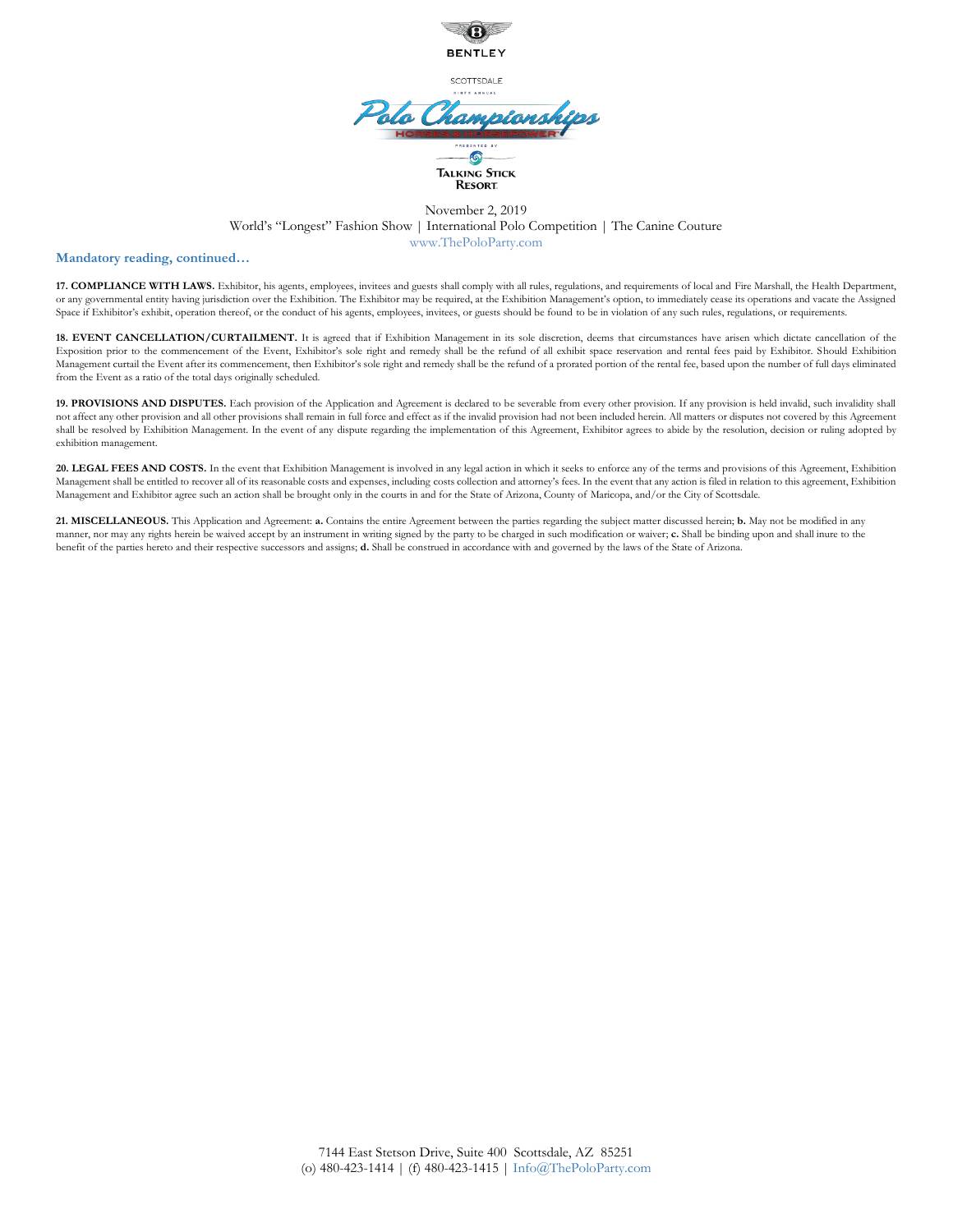

SCOTTSDALE

## do Champions  $\odot$ Talking Stick **RESORT**

#### November 2, 2019 World's "Longest" Fashion Show | International Polo Competition | The Canine Couture www.ThePoloParty.com

#### **Mandatory reading, continued…**

**17. COMPLIANCE WITH LAWS.** Exhibitor, his agents, employees, invitees and guests shall comply with all rules, regulations, and requirements of local and Fire Marshall, the Health Department, or any governmental entity having jurisdiction over the Exhibition. The Exhibitor may be required, at the Exhibition Management's option, to immediately cease its operations and vacate the Assigned Space if Exhibitor's exhibit, operation thereof, or the conduct of his agents, employees, invitees, or guests should be found to be in violation of any such rules, regulations, or requirements.

18. EVENT CANCELLATION/CURTAILMENT. It is agreed that if Exhibition Management in its sole discretion, deems that circumstances have arisen which dictate cancellation of the Exposition prior to the commencement of the Event, Exhibitor's sole right and remedy shall be the refund of all exhibit space reservation and rental fees paid by Exhibitor. Should Exhibition Management curtail the Event after its commencement, then Exhibitor's sole right and remedy shall be the refund of a prorated portion of the rental fee, based upon the number of full days eliminated from the Event as a ratio of the total days originally scheduled.

19. PROVISIONS AND DISPUTES. Each provision of the Application and Agreement is declared to be severable from every other provision. If any provision is held invalid, such invalidity shall not affect any other provision and all other provisions shall remain in full force and effect as if the invalid provision had not been included herein. All matters or disputes not covered by this Agreement shall be resolved by Exhibition Management. In the event of any dispute regarding the implementation of this Agreement, Exhibitor agrees to abide by the resolution, decision or ruling adopted by exhibition management.

20. LEGAL FEES AND COSTS. In the event that Exhibition Management is involved in any legal action in which it seeks to enforce any of the terms and provisions of this Agreement, Exhibition Management shall be entitled to recover all of its reasonable costs and expenses, including costs collection and attorney's fees. In the event that any action is filed in relation to this agreement, Exhibition Management and Exhibitor agree such an action shall be brought only in the courts in and for the State of Arizona, County of Maricopa, and/or the City of Scottsdale.

**21. MISCELLANEOUS.** This Application and Agreement: **a.** Contains the entire Agreement between the parties regarding the subject matter discussed herein; **b.** May not be modified in any manner, nor may any rights herein be waived accept by an instrument in writing signed by the party to be charged in such modification or waiver; **c.** Shall be binding upon and shall inure to the benefit of the parties hereto and their respective successors and assigns; **d.** Shall be construed in accordance with and governed by the laws of the State of Arizona.